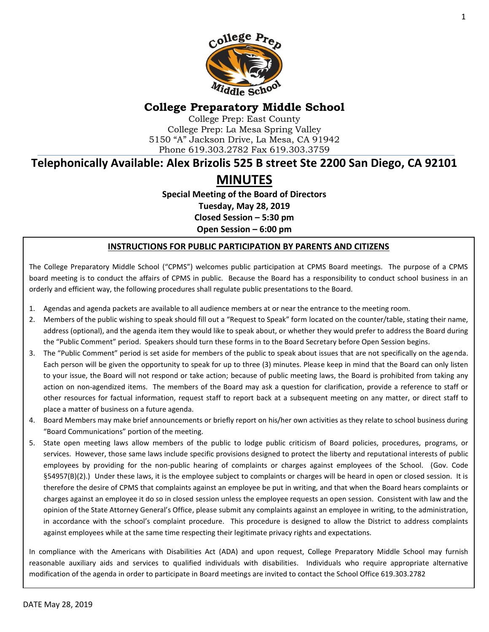

# **College Preparatory Middle School**

College Prep: East County College Prep: La Mesa Spring Valley 5150 "A" Jackson Drive, La Mesa, CA 91942 Phone 619.303.2782 Fax 619.303.3759

# **Telephonically Available: Alex Brizolis 525 B street Ste 2200 San Diego, CA 92101**

# **MINUTES**

**Special Meeting of the Board of Directors Tuesday, May 28, 2019 Closed Session – 5:30 pm**

**Open Session – 6:00 pm**

#### **INSTRUCTIONS FOR PUBLIC PARTICIPATION BY PARENTS AND CITIZENS**

The College Preparatory Middle School ("CPMS") welcomes public participation at CPMS Board meetings. The purpose of a CPMS board meeting is to conduct the affairs of CPMS in public. Because the Board has a responsibility to conduct school business in an orderly and efficient way, the following procedures shall regulate public presentations to the Board.

- 1. Agendas and agenda packets are available to all audience members at or near the entrance to the meeting room.
- 2. Members of the public wishing to speak should fill out a "Request to Speak" form located on the counter/table, stating their name, address (optional), and the agenda item they would like to speak about, or whether they would prefer to address the Board during the "Public Comment" period. Speakers should turn these forms in to the Board Secretary before Open Session begins.
- 3. The "Public Comment" period is set aside for members of the public to speak about issues that are not specifically on the agenda. Each person will be given the opportunity to speak for up to three (3) minutes. Please keep in mind that the Board can only listen to your issue, the Board will not respond or take action; because of public meeting laws, the Board is prohibited from taking any action on non-agendized items. The members of the Board may ask a question for clarification, provide a reference to staff or other resources for factual information, request staff to report back at a subsequent meeting on any matter, or direct staff to place a matter of business on a future agenda.
- 4. Board Members may make brief announcements or briefly report on his/her own activities as they relate to school business during "Board Communications" portion of the meeting.
- 5. State open meeting laws allow members of the public to lodge public criticism of Board policies, procedures, programs, or services. However, those same laws include specific provisions designed to protect the liberty and reputational interests of public employees by providing for the non-public hearing of complaints or charges against employees of the School. (Gov. Code §54957(B)(2).) Under these laws, it is the employee subject to complaints or charges will be heard in open or closed session. It is therefore the desire of CPMS that complaints against an employee be put in writing, and that when the Board hears complaints or charges against an employee it do so in closed session unless the employee requests an open session. Consistent with law and the opinion of the State Attorney General's Office, please submit any complaints against an employee in writing, to the administration, in accordance with the school's complaint procedure. This procedure is designed to allow the District to address complaints against employees while at the same time respecting their legitimate privacy rights and expectations.

In compliance with the Americans with Disabilities Act (ADA) and upon request, College Preparatory Middle School may furnish reasonable auxiliary aids and services to qualified individuals with disabilities. Individuals who require appropriate alternative modification of the agenda in order to participate in Board meetings are invited to contact the School Office 619.303.2782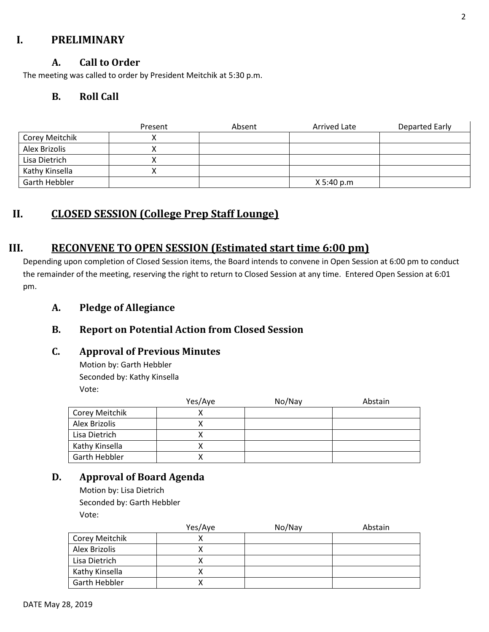## **I. PRELIMINARY**

#### **A. Call to Order**

The meeting was called to order by President Meitchik at 5:30 p.m.

## **B. Roll Call**

|                | Present | Absent | <b>Arrived Late</b> | Departed Early |
|----------------|---------|--------|---------------------|----------------|
| Corey Meitchik |         |        |                     |                |
| Alex Brizolis  | ↗       |        |                     |                |
| Lisa Dietrich  |         |        |                     |                |
| Kathy Kinsella |         |        |                     |                |
| Garth Hebbler  |         |        | X 5:40 p.m          |                |

# **II. CLOSED SESSION (College Prep Staff Lounge)**

## **III. RECONVENE TO OPEN SESSION (Estimated start time 6:00 pm)**

Depending upon completion of Closed Session items, the Board intends to convene in Open Session at 6:00 pm to conduct the remainder of the meeting, reserving the right to return to Closed Session at any time. Entered Open Session at 6:01 pm.

## **A. Pledge of Allegiance**

## **B. Report on Potential Action from Closed Session**

#### **C. Approval of Previous Minutes**

Motion by: Garth Hebbler Seconded by: Kathy Kinsella Vote:

|                | Yes/Aye | No/Nay | Abstain |
|----------------|---------|--------|---------|
| Corey Meitchik |         |        |         |
| Alex Brizolis  |         |        |         |
| Lisa Dietrich  |         |        |         |
| Kathy Kinsella |         |        |         |
| Garth Hebbler  |         |        |         |

## **D. Approval of Board Agenda**

Motion by: Lisa Dietrich Seconded by: Garth Hebbler Vote:

|                | Yes/Aye | No/Nay | Abstain |
|----------------|---------|--------|---------|
| Corey Meitchik |         |        |         |
| Alex Brizolis  |         |        |         |
| Lisa Dietrich  |         |        |         |
| Kathy Kinsella |         |        |         |
| Garth Hebbler  |         |        |         |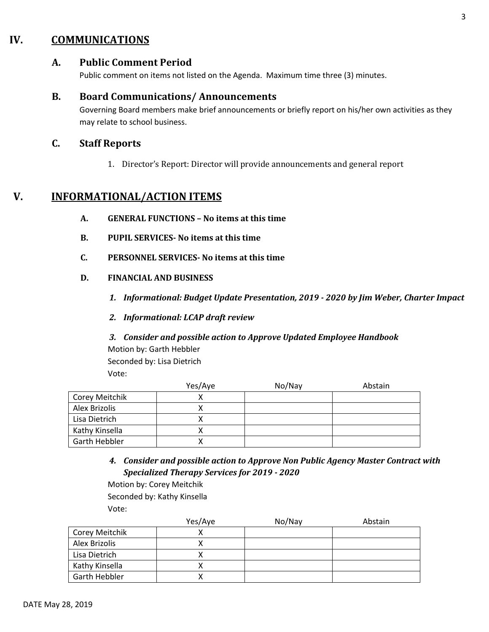## **IV. COMMUNICATIONS**

#### **A. Public Comment Period**

Public comment on items not listed on the Agenda. Maximum time three (3) minutes.

#### **B. Board Communications/ Announcements**

Governing Board members make brief announcements or briefly report on his/her own activities as they may relate to school business.

#### **C. Staff Reports**

1. Director's Report: Director will provide announcements and general report

## **V. INFORMATIONAL/ACTION ITEMS**

- **A. GENERAL FUNCTIONS – No items at this time**
- **B. PUPIL SERVICES- No items at this time**
- **C. PERSONNEL SERVICES- No items at this time**
- **D. FINANCIAL AND BUSINESS**
	- *1. Informational: Budget Update Presentation, 2019 - 2020 by Jim Weber, Charter Impact*
	- *2. Informational: LCAP draft review*
	- *3. Consider and possible action to Approve Updated Employee Handbook* Motion by: Garth Hebbler Seconded by: Lisa Dietrich Vote:

|                | Yes/Aye | No/Nay | Abstain |
|----------------|---------|--------|---------|
| Corey Meitchik |         |        |         |
| Alex Brizolis  |         |        |         |
| Lisa Dietrich  |         |        |         |
| Kathy Kinsella |         |        |         |
| Garth Hebbler  |         |        |         |

*4. Consider and possible action to Approve Non Public Agency Master Contract with Specialized Therapy Services for 2019 - 2020*

Motion by: Corey Meitchik Seconded by: Kathy Kinsella Vote:

|                      | Yes/Aye | No/Nay | Abstain |
|----------------------|---------|--------|---------|
| Corey Meitchik       |         |        |         |
| Alex Brizolis        |         |        |         |
| Lisa Dietrich        |         |        |         |
| Kathy Kinsella       |         |        |         |
| <b>Garth Hebbler</b> |         |        |         |